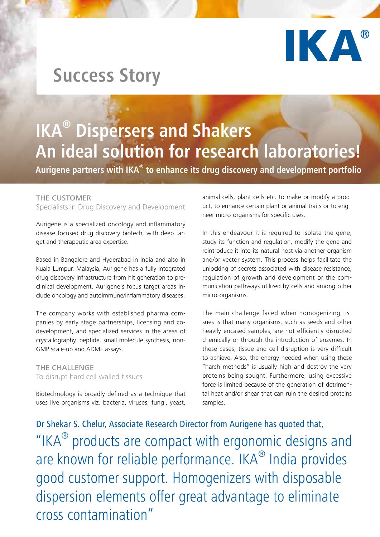

# **Success Story**

# **IKA® Dispersers and Shakers An ideal solution for research laboratories!**

**Aurigene partners with IKA® to enhance its drug discovery and development portfolio**

#### THE CUSTOMER

Specialists in Drug Discovery and Development

Aurigene is a specialized oncology and inflammatory disease focused drug discovery biotech, with deep target and therapeutic area expertise.

Based in Bangalore and Hyderabad in India and also in Kuala Lumpur, Malaysia, Aurigene has a fully integrated drug discovery infrastructure from hit generation to preclinical development. Aurigene's focus target areas include oncology and autoimmune/inflammatory diseases.

The company works with established pharma companies by early stage partnerships, licensing and codevelopment, and specialized services in the areas of crystallography, peptide, small molecule synthesis, non-GMP scale-up and ADME assays.

THE CHALLENGE To disrupt hard cell walled tissues

Biotechnology is broadly defined as a technique that uses live organisms viz. bacteria, viruses, fungi, yeast,

animal cells, plant cells etc. to make or modify a product, to enhance certain plant or animal traits or to engineer micro-organisms for specific uses.

In this endeavour it is required to isolate the gene, study its function and regulation, modify the gene and reintroduce it into its natural host via another organism and/or vector system. This process helps facilitate the unlocking of secrets associated with disease resistance, regulation of growth and development or the communication pathways utilized by cells and among other micro-organisms.

The main challenge faced when homogenizing tissues is that many organisms, such as seeds and other heavily encased samples, are not efficiently disrupted chemically or through the introduction of enzymes. In these cases, tissue and cell disruption is very difficult to achieve. Also, the energy needed when using these "harsh methods" is usually high and destroy the very proteins being sought. Furthermore, using excessive force is limited because of the generation of detrimental heat and/or shear that can ruin the desired proteins samples.

Dr Shekar S. Chelur, Associate Research Director from Aurigene has quoted that, "IKA<sup>®</sup> products are compact with ergonomic designs and are known for reliable performance. IKA<sup>®</sup> India provides good customer support. Homogenizers with disposable dispersion elements offer great advantage to eliminate cross contamination"